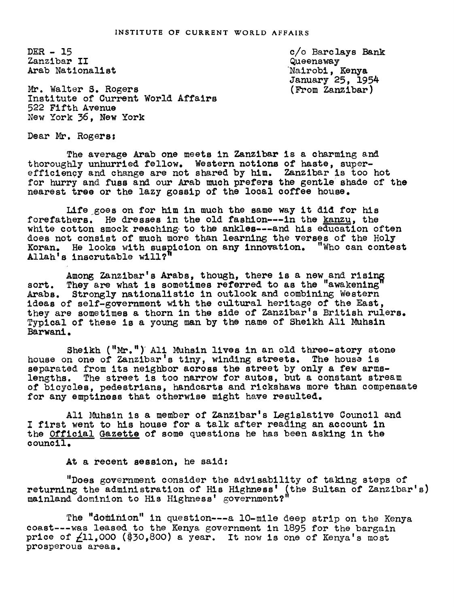DER- 15 Zanzibar II Arab Nationalist

c/o Barc lays Bank Queensway Nairobi, Kenya January 25, 1954 (From Zanzibar)

Mr. Walter S. Rogers Institute of Current World Affairs 522 Fifth Avenue New York 36, New York

Dear Mr. Rogers:

The average Arab one meets in Zanzibar is a charming and thoroughly unhurried fellow. Western notions of haste, superefficiency and change are not shared by him. Zanzibar is too hot for hurry and fuss and our Arab much prefers the gentle shade of the nearest tree or the lazy gossip of the local coffee house.

Life goes on for him in much the same way it did for his forefathers. He dresses in the old fashion---in the kanzu, the white cotton smock reaching to the ankles---and his education often does not consist of much more than learning the verses of the Holy Koran. He looks with suspicion on any innovation. "Who can contest Allah' s inscrutable will?"

Among Zanzibar's Arabs, though, there is a new and rising sort. They are what is sometimes referred to as the "awakening" Arabs. Strongly nationalistic in outlook and combining Western ideas of self-government with the cultural heritage of the East, they are sometimes a thorn in the side of Zanzibar's British rulers. Typical of these is a young man by the name of Sheikh Ali Muhsin Barwani.

Sheikh ("Mr.") Ali Muhsin lives in an old three-story stone house on one of Zanzibar's tiny, winding streets. The house is separated from its neighbor across the street by only a few armslengths. The street is too narrow for autos, but a constant stream of bicycles, pedestrians, handcarts and rickshaws more than compensate for any emptiness that otherwise might have resulted.

Ali Muhsin is a member of Zanzibar's Legislative Council and I first went to his house for a talk after reading an account in the Official Gazette of some questions he has been asking in the council.

At a recent session, he said:

"Does government consider the advisability of taking steps of returning the administration of His Highness' (the Sultan of Zanzibar's)<br>mainland dominion to His Highness' government?"

The "dominion" in question---a lO-mile deep strip on the Kenya coast---was leased to the Kenya government in 1895 for the bargain price of  $\angle 11,000$  (\$30,800) a year. It now is one of Kenya's most prosperous areas.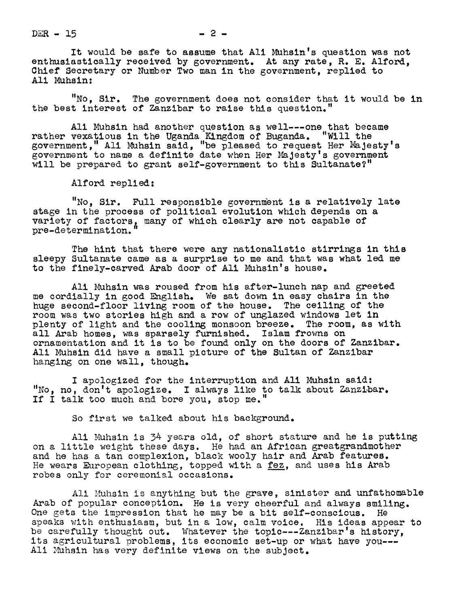$DER - 15$ 

It would be safe to assume that All Muhsin's question was not enthusiastically received by government. At any rate, R. E. Alford, Chief Secretary or Number Two man in the government, replied to All Muhsln:

"No, Sir. The government does not consider that it would be in the best interest of Zanzibar to raise this question."

Ali Muhsin had another question as well---one that became rather vexatious in the Uganda Kingdom of Buganda. "Will the government, " All Muhsin said, "be pleased to request Her Jesty' government to name a definite date when Her Majesty's government will be prepared to grant self-government to this Sultanate?"

Alford replied:

"No, Sir. Full responsible government is a relatively late stage in the process of political evolution which depends on a variety of factors, many of which clearly are not capable of pre-determlnation.

The hint that there were any nationalistic stirrings in this sleepy Sultanate came as a surprise to me and that was what led me to the finely-carved Arab door of Ali Muhsin's house.

Ali Muhsin was roused from his after-lunch nap and greeted me cordially in good English. We sat down in easy chairs in the huge second-floor living room of the house. The ceiling of the room was two stories high and a row of unglazed windows let in plenty of light and the cooling monsoon breeze. The room, as with all Arab homes, was sparsely furnished. Islam frowns on ornamentation and it is to be found only on the doors of Zanzibar. All Muhsin did have a small picture of the Sultan of Zanzibar hanging on one wall, though.

I apologized for the interruption and Ali Muhsin said: "No, no, don't apologize. I always like to talk about Zanzibar. If I talk too much and bore you, stop me."

So first we talked about his background.

Ali Muhsin is 34 years old, of short stature and he is putting on a little weight these days. He had an African greatgrandmother and he has a tan complexion, black wooly hair and Arab features. He wears European clothing, topped with a fez, and uses his Arab robes only for ceremonial occasions.

All Muhsin is anything but the grave, sinister and unfathomable Arab of popular conception. He is very cheerful and always smiling. One gets the impression that he may be a bit self-conscious. He speaks with enthusiasm, but in a low, calm voice. His ideas appear to be carefully thought out. Whatever the toplc---Zanzibar's history, its agricultural problems, its economic set-up or what have you--- Ali Muhsin has very definite views on the subject.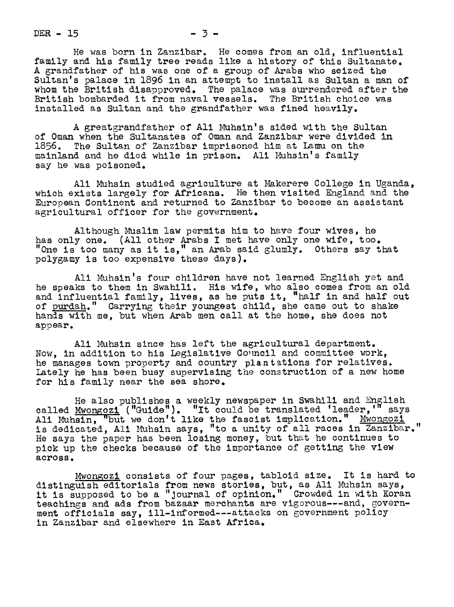$DER - 15$   $- 3 -$ 

He was born in Zanzibar. He comes from an old, influential family and his family tree reads like a history of this Sultanate. A grandfather of his was one of a group of Arabs who seized the Sultan's palace in 1896 in an attempt to install as Sultan a man of whom the British disapproved. The palace was surrendered after the British bombarded it from naval vessels. The British choice was installed as Sultan and the grandfather was fined heavily.

A greatgrandfather of Ali Muhsin's sided with the Sultan of 0man when the Sultanates of Oman and Zanzibar were divided in 1856. The Sultan of Zanzibar imprisoned him at Lamu on the mainland and he died while in prison. Ali Muhsin's family say he was poisoned.

Ali Muhsln studied agriculture at Makerere College in Uganda, which exists largely for Africans. He then visited England and the European Continent and returned to Zanzibar to become an assistant agricultural officer for the government.

Although Muslim law permits him to have four wives, he has only one. (All other Arabs I met have only one wife, too. "One is too many as it is," an Arab said glumly. Others say that polygamy is too expensive these days).

Ali Muhsin's four children have not learned English yet and he speaks to them in Swahili. His wife, who also comes from an old and influential family, lives, as he puts it, "half in and half out of purdah." Carrying their youngest child, she came out to shake hands with me, but when Arab men call at the home, she does not appear.

Ali Muhsin since has left the agricultural department. Now, in addition to his Legislative Coucil and committee work, he manages town property and country plantations for relatives. Lately he has been busy supervising the construction of a new home for his family near the sea shore.

He also publishes a weekly newspaper in Swahili and English called  $\texttt{Mwongozi}$  ("Guide"). "It could be translated 'leader,'" says Ali Muhsin, "but we don't like the fascist implication." Mwongozi is dedicated, Ali Muhsin says, "to a unity of all races in Zanzibar." He says the paper has been losing money, but that he continues to pick up the checks because of the importance of getting the view across.

Mwongozi consists of four pages, tabloid size. It is hard to distinguish editorials from news stories, but, as Ali Muhsin says, it is supposed to be a "Journal of opinion." Crowded in with Koran teachings and ads from bazaar merchants are vizorous---and, government officials say, ill-informed---at.tacks on government policy in Zanzibar and elsewhere in East Africa.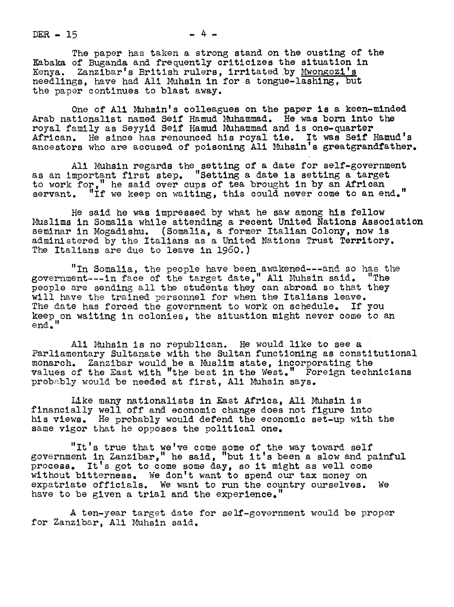$DER - 15$  - 4 -

The paper has taken a strong stand on the ousting of the Kabaka of Buganda and frequently criticizes the situation in Kenya. Zanzibar's British rulers, irritated by Mwongozi's needlings, have had All Muhsln in for a tongue-lashlng, but the paper continues to blast away.

One of Ali Muhsin's colleagues on the paper is a keen-minded Arab nationalist named Self Hamud Muhammad. He was born into the royal family as Seyyid Self Hamud Muhammad and is one-quarter African. He since has renounced his royal tie. It was Self Hamud's ancestors who are accused of poisoning Ali Muhsin's greatgrandfather.

Ali Muhsin regards the setting of a date for self-government as an important first step. "setting a date is setting a target to work for," he said over cups of tea brought in by an African servant. "If we keep on waiting, this could never come to an end."

He said he was impressed by what he saw among his fellow Muslims in Somalia while attending a recent United Nations Association seminar in Mogadishu. (Somalia, a former Italian Colony, now is administered by the Italians as a United Nations Trust Territory. The Italians are due to leave in 1960.)

"In Somalia, the people have been awakened---and so has the government---in face of the target date, " Ali Nuhsin said . "The people are sending all the students they can abroad so that they will have the trained personnel for when the Italians leave. The date has forced the government to work on schedule. If you keep on waiting in colonies, the situation might never come to an end."

Ali Muhsin is no republican. He would like to see a Parliamentary Sultanate with the Sultan functioning as constitutional monarch. Zanzibar would be a Muslim state, incorporating the values of the East with "the best in the West." Foreign technicians probably would be needed at first, Ali Muhsin says.

IAke many nationalists in East Africa, All Muhsln is financially well off and economic change does not figure into his views. He probably would defend the economic set-up with the same vigor that he opposes the political one.

"It's true that we've come some of the way toward self government in Zanzibar, " he said, "but it's been a slow and painful process. It's got to come some day, so it might as well come without bitterness. We don't want to spend our tax money on expatriate officials. We want to run the country ourselves. We have to be given a trial and the experience."

A ten-year target date for self-government would be proper for Zanzibar, All Muhsin said.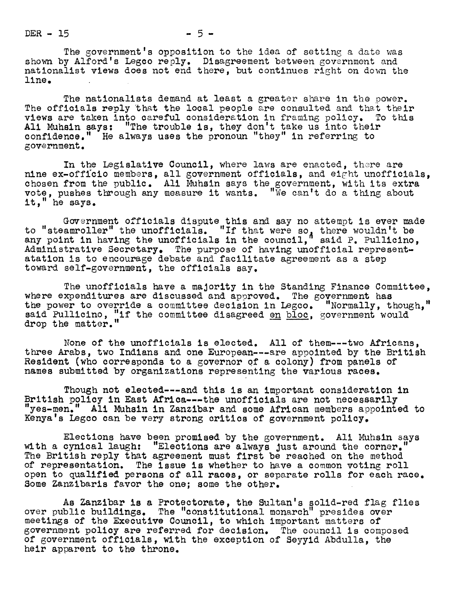$DER - 15$   $-5 -$ 

The government's opposition to the idea of setting a date was shown by Alford's Legco reply. Disagreement between government and nationalist views does not end there, but continues right on down the line.

The nationalists demand at least a greater share in the power. The officials reply that the local people are consulted and that their views are taken into careful consideration in framing policy. To this All Muhsln says: "The trouble is, they don't take us into their confidence." He always uses the pronoun "they" in referring to goverument.

In the Legislative Council, where laws are enacted, there are nine ex-officio members, all government officials, and eight unofficials, chosen from the public. Ali Muhsin says the government, with its extra vote, pushes through any measure it wants. "We can't do a thing about it," he says.

Government officials dispute this and say no attempt is ever made to "steamroller" the unofficials. "If that were so, there wouldn't be any point in having the unofficials in the council," said P. Pullicino, Administrative Secretary. The purpose of having unofficial representatation is to encourage debate and facilitate agreement as a step toward self-government, the officials say.

The unofficials have a majority in the Standing Finance Committee. where expenditures are discussed and approved. The government has the power to override a committee decision in Legoo. "Normally, though," the power to override a committee decision in Legco. "Normally, though, said Pullicino, "if the committee disagreed <u>en bloc</u>, government would drop the matter.

None of the unofflcials is elected. All of them---two Africans, three Arabs, two Indians and one European---are appointed by the British Resident (who corresponds to a governor of a colony) from panels of names submitted by organizations representing the various races.

Though not elected---and this is an important consideration in British policy in East Africa---the unofficlals are not necessarily "yes-men." Ali Muhsin in Zanzibar and some African members appointed to Kenya's Legco can be very strong critics of government policy.

Elections have been promised by the government. Ali Muhsin says with a cynical laugh: "Elections are always just around the corner. The British reply that agreement must first be reached on the method of representation. The issue is whether to have a common voting roll open to qualified persons of all races, or separate rolls for each race. Some Zanzibaris favor the one; some the other.

As Zanzibar is a Protectorate, the Sultan's solid-red flag flies over public buildings. The "constitutional monarch" presides over meetings of the Executive Council, to which important matters of government policy are referred for decision. The council is composed of government officials, with the exception of Seyyid Abdulla, the heir apparent to the throne.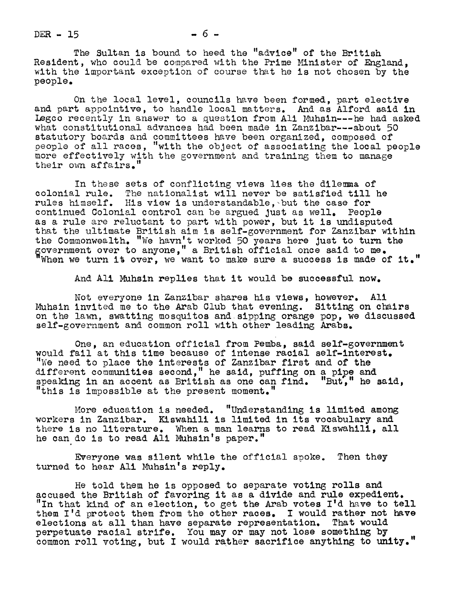$DER - 15$   $-6$   $-$ 

The Sultan is bound to heed the "advice" of the British Resident, who could be compared with the Prime Minister of England, with the important exception of course that he is not chosen by the people.

On the local level, councils have been formed, part elective and part appointive, to handle local matters. And as Alford said in Legco recently in answer to a question from Ali Muhsin---he had asked what constitutional advances had been made in Zanzibar---about 50 statutory boards and committees have been organized, composed of oeopls of all races, "with the object of associating the local people more effectively with the government and training them to manage their own affairs."

In these sets of conflicting views lies the dilemma of colonial rule. The nationalist will never be satisfied till he rules himself. His view is understandable, but the case for continued Colonial control can be argued Just as well. People as a rule are reluctant to part with power, but it is undisputed that the ultimate British aim is self-government for Zanzibar within the Commonwealth. "We havn't worked 50 years here just to turn the<br>government over to anyone," a British official once said to me.<br>"When we turn it over, we want to make sure a success is made of i over to<br>rn <mark>it</mark> o over, anyone, we want a British to make official sure a success once said is to made me.<br>e of it."

And All Muhsin replies that it would be successful now.

Not everyone in Zanzibar shares his views, however. All Muhsin invited me to the Arab Club that evening. Sitting on chairs on the lawn, swatting mosquitos and sipping orange pop, we discussed self-government and common roll with other leading Arabs.

One, an education official from Pemba, said self-government would fail at this time because of intense racial self-interest. "We need to place the interests of Zanzibar first and of the different communities second," he said, puffing on a pipe and speaking in an accent as British as one can find. "But," he said, "this is impossible at the present moment."

More education is needed. "Understanding is limited among workers in Zanzibar. Kiswahill is limited in its vocabulary and there is no literature. When a man learns to read Kiswahili, all he can do is to read All Muhsin's paper."

Evemyone was silent while the official spoke. Then they turned to hear All Muhsin's reply.

He told them he is opposed to separate voting rolls and accused the British of favoring it as a divide and rule expedient. "In that kind of an election, to get the Arab votes I'd have to tell them I'd protect them from the other races. I would rather not have elections at all than have separate representation. That would perpetuate racial strife. You may or may not lose something by common roll voting, but I would rather sacrifice anything to unity."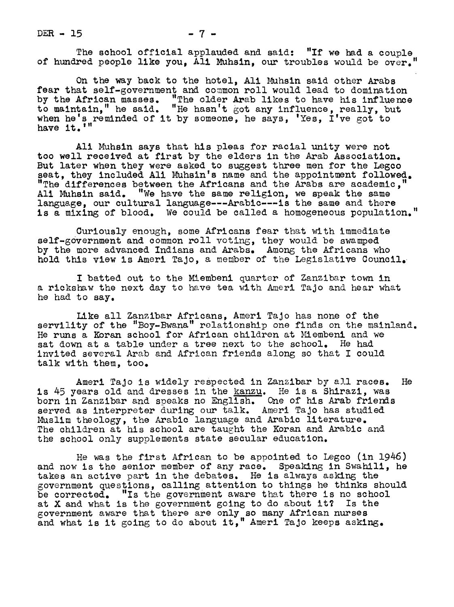$DER - 15$   $- 7 -$ 

The school official applauded and said: "If we had a couple of hundred people like you, All Muhsln, our troubles would be over.

On the way back to the hotel, All Muhsin said other Arabs fear that self-government and common roll would lead to domination by the African masses. "The older Arab likes to have his influence to maintain," he said. "He hasn't got any influence, really, but when he's reminded of it by someone, he says, 'Yes, I've got to have it.'

All Muhsin says that his pleas for racial unity were not too well received at first by the elders in the Arab Association. But later when they were asked to suggest three men for the Legco seat, they included Ali Muhsin's name and the appointment followed. "The differences between the Africans and the Arabs are academic," Ali Muhsin said. "We have the same religion, we speak the same language, our cultural language---Arabic---is the same and there is a mixing of blood. We could be called a homogeneous population."

Curiously enough, some Africans fear that with immediate self-government and common roll voting, they would be swamped by the more advanced Indians and Arabs. Among the Africans who hold this view is Ameri TaJo, a member of the Legislative Council.

I batted out to the Miembenl quarter of Zanzibar town in a rickshaw the next day to have tea with Ameri Tajo and hear what he had to say.

Like all Zanzibar Africans, Ameri TaJo has none of the servility of the "Boy-Bwana" relationship one finds on the mainland. He runs a Koran school for African children at Miembeni and we sat down at a table under a tree next to the school. He had invited several Arab and African friends along so that I could talk with them, too.

Amerl TaJo is widely respected in Zanzibar by all races. He is 45 years old and dresses in the kanzu. He is a Shirazi, was born in Zanzibar and speaks no English. One of his Arab friends served as interpreter during our talk. Ameri TaJo has studied Muslim theology, the Arabic language and Arabic literature. The children at his school are taught the Koran and Arabic and the school only supplements state secular education.

He was the first African to be appointed to Legco (in 1946) and now is the senior member of any race. Speaking in Swahili, he takes an active part in the debates. He is always asking the government questions, calling attention to things he thinks should be corrected. "Is the government aware that there is no school at X and what is the government going to do about it? Is the government aware that there are only so many African nurses and what is it going to do about it, " Amerl TaJo keeps asking .